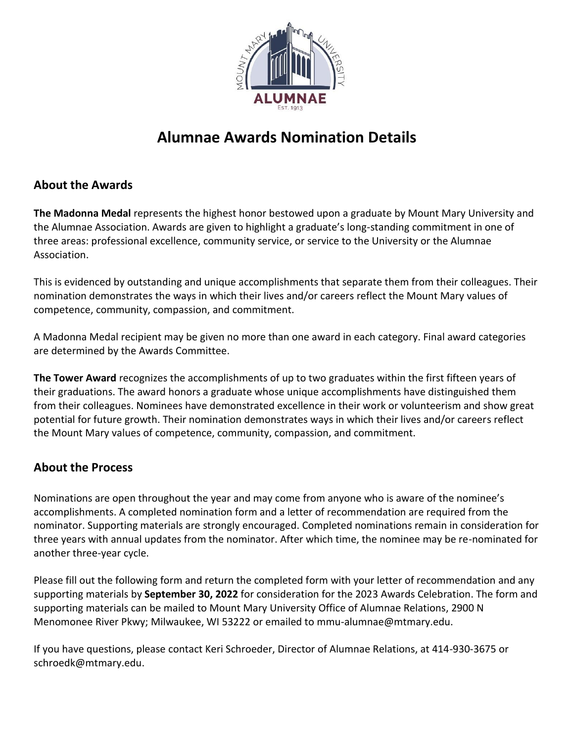

# **Alumnae Awards Nomination Details**

## **About the Awards**

**The Madonna Medal** represents the highest honor bestowed upon a graduate by Mount Mary University and the Alumnae Association. Awards are given to highlight a graduate's long-standing commitment in one of three areas: professional excellence, community service, or service to the University or the Alumnae Association.

This is evidenced by outstanding and unique accomplishments that separate them from their colleagues. Their nomination demonstrates the ways in which their lives and/or careers reflect the Mount Mary values of competence, community, compassion, and commitment.

A Madonna Medal recipient may be given no more than one award in each category. Final award categories are determined by the Awards Committee.

**The Tower Award** recognizes the accomplishments of up to two graduates within the first fifteen years of their graduations. The award honors a graduate whose unique accomplishments have distinguished them from their colleagues. Nominees have demonstrated excellence in their work or volunteerism and show great potential for future growth. Their nomination demonstrates ways in which their lives and/or careers reflect the Mount Mary values of competence, community, compassion, and commitment.

## **About the Process**

Nominations are open throughout the year and may come from anyone who is aware of the nominee's accomplishments. A completed nomination form and a letter of recommendation are required from the nominator. Supporting materials are strongly encouraged. Completed nominations remain in consideration for three years with annual updates from the nominator. After which time, the nominee may be re-nominated for another three-year cycle.

Please fill out the following form and return the completed form with your letter of recommendation and any supporting materials by **September 30, 2022** for consideration for the 2023 Awards Celebration. The form and supporting materials can be mailed to Mount Mary University Office of Alumnae Relations, 2900 N Menomonee River Pkwy; Milwaukee, WI 53222 or emailed to mmu-alumnae@mtmary.edu.

If you have questions, please contact Keri Schroeder, Director of Alumnae Relations, at 414-930-3675 or schroedk@mtmary.edu.